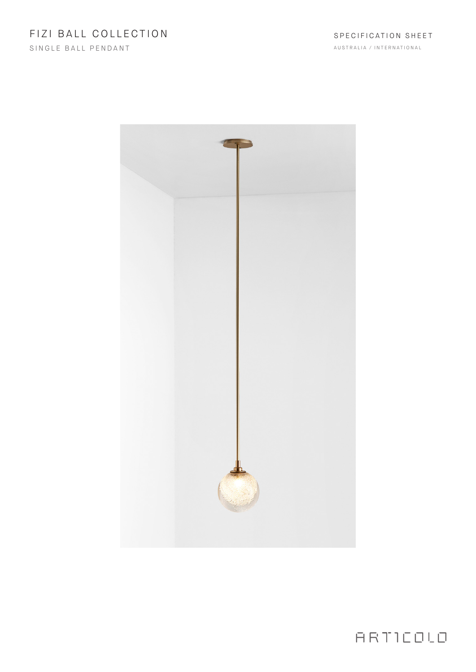SINGLE BALL PENDANT



ARTICOLO